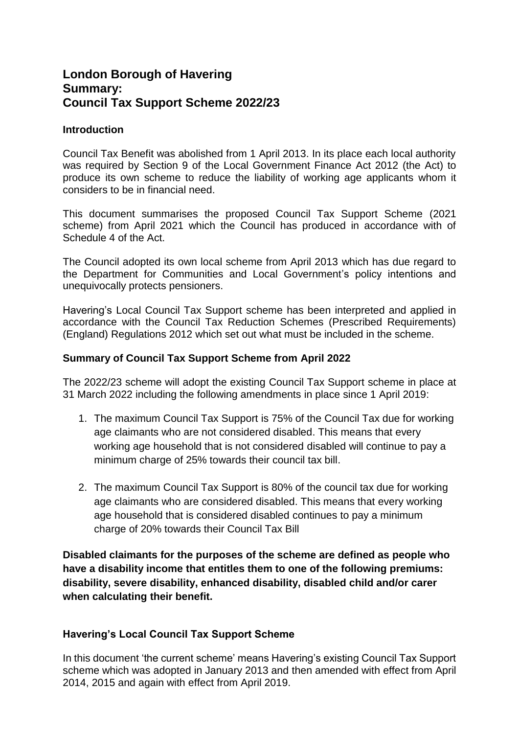# **London Borough of Havering Summary: Council Tax Support Scheme 2022/23**

## **Introduction**

Council Tax Benefit was abolished from 1 April 2013. In its place each local authority was required by Section 9 of the Local Government Finance Act 2012 (the Act) to produce its own scheme to reduce the liability of working age applicants whom it considers to be in financial need.

This document summarises the proposed Council Tax Support Scheme (2021 scheme) from April 2021 which the Council has produced in accordance with of Schedule 4 of the Act.

The Council adopted its own local scheme from April 2013 which has due regard to the Department for Communities and Local Government's policy intentions and unequivocally protects pensioners.

Havering's Local Council Tax Support scheme has been interpreted and applied in accordance with the Council Tax Reduction Schemes (Prescribed Requirements) (England) Regulations 2012 which set out what must be included in the scheme.

## **Summary of Council Tax Support Scheme from April 2022**

The 2022/23 scheme will adopt the existing Council Tax Support scheme in place at 31 March 2022 including the following amendments in place since 1 April 2019:

- 1. The maximum Council Tax Support is 75% of the Council Tax due for working age claimants who are not considered disabled. This means that every working age household that is not considered disabled will continue to pay a minimum charge of 25% towards their council tax bill.
- 2. The maximum Council Tax Support is 80% of the council tax due for working age claimants who are considered disabled. This means that every working age household that is considered disabled continues to pay a minimum charge of 20% towards their Council Tax Bill

**Disabled claimants for the purposes of the scheme are defined as people who have a disability income that entitles them to one of the following premiums: disability, severe disability, enhanced disability, disabled child and/or carer when calculating their benefit.**

## **Havering's Local Council Tax Support Scheme**

In this document 'the current scheme' means Havering's existing Council Tax Support scheme which was adopted in January 2013 and then amended with effect from April 2014, 2015 and again with effect from April 2019.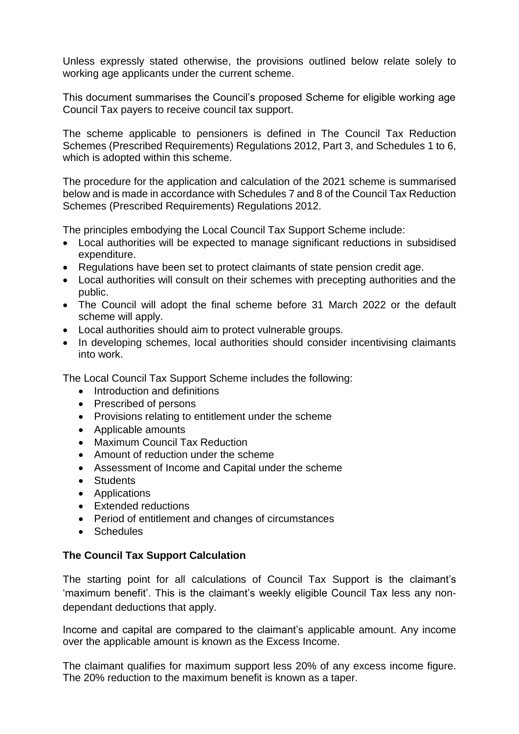Unless expressly stated otherwise, the provisions outlined below relate solely to working age applicants under the current scheme.

This document summarises the Council's proposed Scheme for eligible working age Council Tax payers to receive council tax support.

The scheme applicable to pensioners is defined in The Council Tax Reduction Schemes (Prescribed Requirements) Regulations 2012, Part 3, and Schedules 1 to 6, which is adopted within this scheme.

The procedure for the application and calculation of the 2021 scheme is summarised below and is made in accordance with Schedules 7 and 8 of the Council Tax Reduction Schemes (Prescribed Requirements) Regulations 2012.

The principles embodying the Local Council Tax Support Scheme include:

- Local authorities will be expected to manage significant reductions in subsidised expenditure.
- Regulations have been set to protect claimants of state pension credit age.
- Local authorities will consult on their schemes with precepting authorities and the public.
- The Council will adopt the final scheme before 31 March 2022 or the default scheme will apply.
- Local authorities should aim to protect vulnerable groups.
- In developing schemes, local authorities should consider incentivising claimants into work.

The Local Council Tax Support Scheme includes the following:

- Introduction and definitions
- Prescribed of persons
- Provisions relating to entitlement under the scheme
- Applicable amounts
- Maximum Council Tax Reduction
- Amount of reduction under the scheme
- Assessment of Income and Capital under the scheme
- Students
- Applications
- Extended reductions
- Period of entitlement and changes of circumstances
- Schedules

## **The Council Tax Support Calculation**

The starting point for all calculations of Council Tax Support is the claimant's 'maximum benefit'. This is the claimant's weekly eligible Council Tax less any nondependant deductions that apply.

Income and capital are compared to the claimant's applicable amount. Any income over the applicable amount is known as the Excess Income.

The claimant qualifies for maximum support less 20% of any excess income figure. The 20% reduction to the maximum benefit is known as a taper.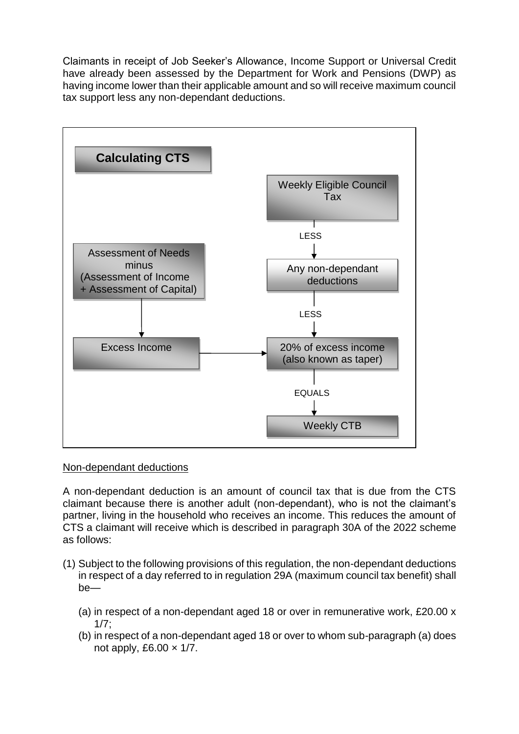Claimants in receipt of Job Seeker's Allowance, Income Support or Universal Credit have already been assessed by the Department for Work and Pensions (DWP) as having income lower than their applicable amount and so will receive maximum council tax support less any non-dependant deductions.



## Non-dependant deductions

A non-dependant deduction is an amount of council tax that is due from the CTS claimant because there is another adult (non-dependant), who is not the claimant's partner, living in the household who receives an income. This reduces the amount of CTS a claimant will receive which is described in paragraph 30A of the 2022 scheme as follows:

- (1) Subject to the following provisions of this regulation, the non-dependant deductions in respect of a day referred to in regulation 29A (maximum council tax benefit) shall be—
	- (a) in respect of a non-dependant aged 18 or over in remunerative work, £20.00 x 1/7;
	- (b) in respect of a non-dependant aged 18 or over to whom sub-paragraph (a) does not apply, £6.00  $\times$  1/7.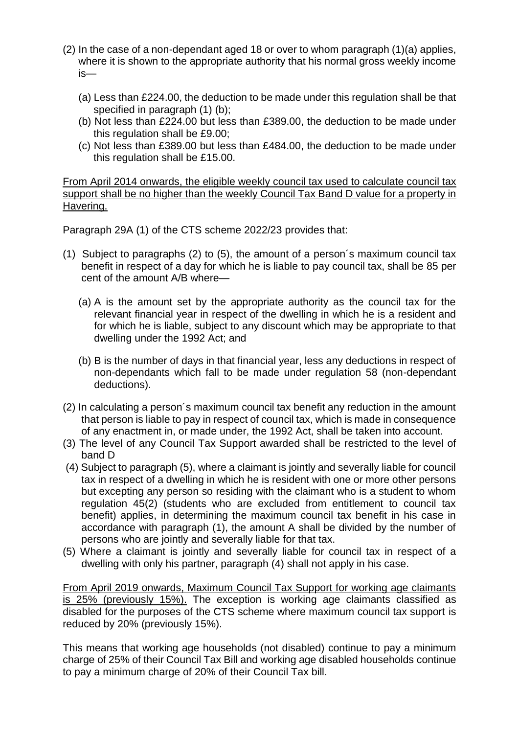- (2) In the case of a non-dependant aged 18 or over to whom paragraph (1)(a) applies, where it is shown to the appropriate authority that his normal gross weekly income is—
	- (a) Less than £224.00, the deduction to be made under this regulation shall be that specified in paragraph (1) (b);
	- (b) Not less than £224.00 but less than £389.00, the deduction to be made under this regulation shall be £9.00;
	- (c) Not less than £389.00 but less than £484.00, the deduction to be made under this regulation shall be £15.00.

From April 2014 onwards, the eligible weekly council tax used to calculate council tax support shall be no higher than the weekly Council Tax Band D value for a property in Havering.

Paragraph 29A (1) of the CTS scheme 2022/23 provides that:

- (1) Subject to paragraphs (2) to (5), the amount of a person´s maximum council tax benefit in respect of a day for which he is liable to pay council tax, shall be 85 per cent of the amount A/B where—
	- (a) A is the amount set by the appropriate authority as the council tax for the relevant financial year in respect of the dwelling in which he is a resident and for which he is liable, subject to any discount which may be appropriate to that dwelling under the 1992 Act; and
	- (b) B is the number of days in that financial year, less any deductions in respect of non-dependants which fall to be made under regulation 58 (non-dependant deductions).
- (2) In calculating a person´s maximum council tax benefit any reduction in the amount that person is liable to pay in respect of council tax, which is made in consequence of any enactment in, or made under, the 1992 Act, shall be taken into account.
- (3) The level of any Council Tax Support awarded shall be restricted to the level of band D
- (4) Subject to paragraph (5), where a claimant is jointly and severally liable for council tax in respect of a dwelling in which he is resident with one or more other persons but excepting any person so residing with the claimant who is a student to whom regulation 45(2) (students who are excluded from entitlement to council tax benefit) applies, in determining the maximum council tax benefit in his case in accordance with paragraph (1), the amount A shall be divided by the number of persons who are jointly and severally liable for that tax.
- (5) Where a claimant is jointly and severally liable for council tax in respect of a dwelling with only his partner, paragraph (4) shall not apply in his case.

From April 2019 onwards, Maximum Council Tax Support for working age claimants is 25% (previously 15%). The exception is working age claimants classified as disabled for the purposes of the CTS scheme where maximum council tax support is reduced by 20% (previously 15%).

This means that working age households (not disabled) continue to pay a minimum charge of 25% of their Council Tax Bill and working age disabled households continue to pay a minimum charge of 20% of their Council Tax bill.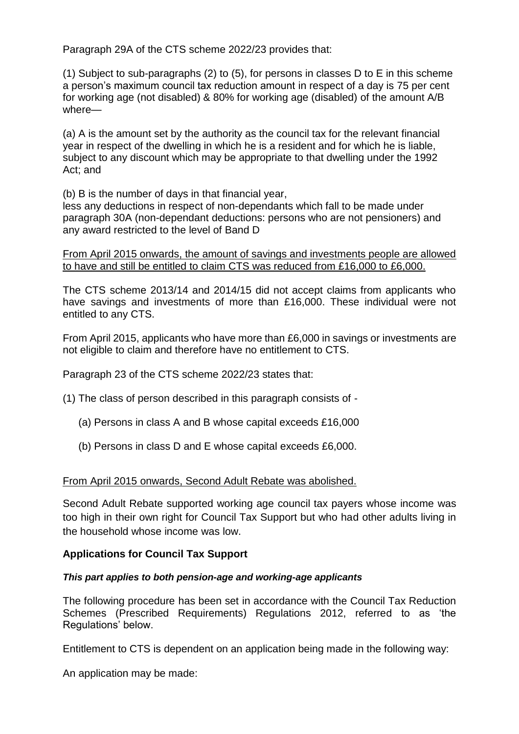Paragraph 29A of the CTS scheme 2022/23 provides that:

(1) Subject to sub-paragraphs (2) to (5), for persons in classes D to E in this scheme a person's maximum council tax reduction amount in respect of a day is 75 per cent for working age (not disabled) & 80% for working age (disabled) of the amount A/B where—

(a) A is the amount set by the authority as the council tax for the relevant financial year in respect of the dwelling in which he is a resident and for which he is liable, subject to any discount which may be appropriate to that dwelling under the 1992 Act; and

(b) B is the number of days in that financial year,

less any deductions in respect of non-dependants which fall to be made under paragraph 30A (non-dependant deductions: persons who are not pensioners) and any award restricted to the level of Band D

From April 2015 onwards, the amount of savings and investments people are allowed to have and still be entitled to claim CTS was reduced from £16,000 to £6,000.

The CTS scheme 2013/14 and 2014/15 did not accept claims from applicants who have savings and investments of more than £16,000. These individual were not entitled to any CTS.

From April 2015, applicants who have more than £6,000 in savings or investments are not eligible to claim and therefore have no entitlement to CTS.

Paragraph 23 of the CTS scheme 2022/23 states that:

(1) The class of person described in this paragraph consists of -

- (a) Persons in class A and B whose capital exceeds £16,000
- (b) Persons in class D and E whose capital exceeds £6,000.

#### From April 2015 onwards, Second Adult Rebate was abolished.

Second Adult Rebate supported working age council tax payers whose income was too high in their own right for Council Tax Support but who had other adults living in the household whose income was low.

## **Applications for Council Tax Support**

#### *This part applies to both pension-age and working-age applicants*

The following procedure has been set in accordance with the Council Tax Reduction Schemes (Prescribed Requirements) Regulations 2012, referred to as 'the Regulations' below.

Entitlement to CTS is dependent on an application being made in the following way:

An application may be made: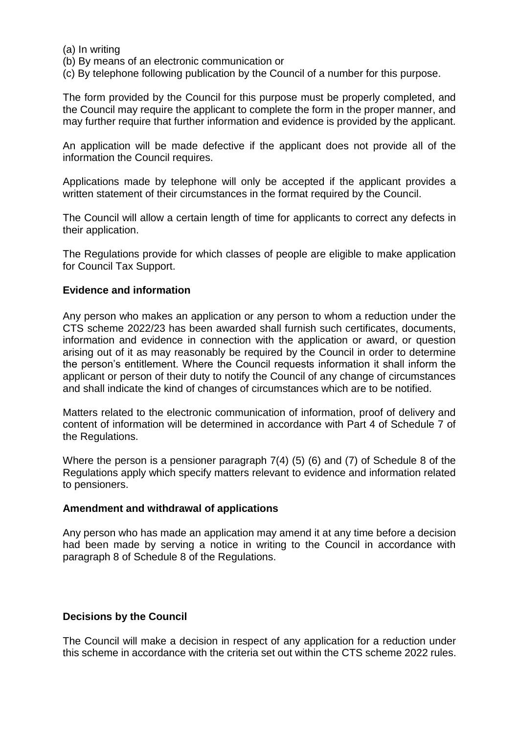(a) In writing

(b) By means of an electronic communication or

(c) By telephone following publication by the Council of a number for this purpose.

The form provided by the Council for this purpose must be properly completed, and the Council may require the applicant to complete the form in the proper manner, and may further require that further information and evidence is provided by the applicant.

An application will be made defective if the applicant does not provide all of the information the Council requires.

Applications made by telephone will only be accepted if the applicant provides a written statement of their circumstances in the format required by the Council.

The Council will allow a certain length of time for applicants to correct any defects in their application.

The Regulations provide for which classes of people are eligible to make application for Council Tax Support.

### **Evidence and information**

Any person who makes an application or any person to whom a reduction under the CTS scheme 2022/23 has been awarded shall furnish such certificates, documents, information and evidence in connection with the application or award, or question arising out of it as may reasonably be required by the Council in order to determine the person's entitlement. Where the Council requests information it shall inform the applicant or person of their duty to notify the Council of any change of circumstances and shall indicate the kind of changes of circumstances which are to be notified.

Matters related to the electronic communication of information, proof of delivery and content of information will be determined in accordance with Part 4 of Schedule 7 of the Regulations.

Where the person is a pensioner paragraph 7(4) (5) (6) and (7) of Schedule 8 of the Regulations apply which specify matters relevant to evidence and information related to pensioners.

#### **Amendment and withdrawal of applications**

Any person who has made an application may amend it at any time before a decision had been made by serving a notice in writing to the Council in accordance with paragraph 8 of Schedule 8 of the Regulations.

#### **Decisions by the Council**

The Council will make a decision in respect of any application for a reduction under this scheme in accordance with the criteria set out within the CTS scheme 2022 rules.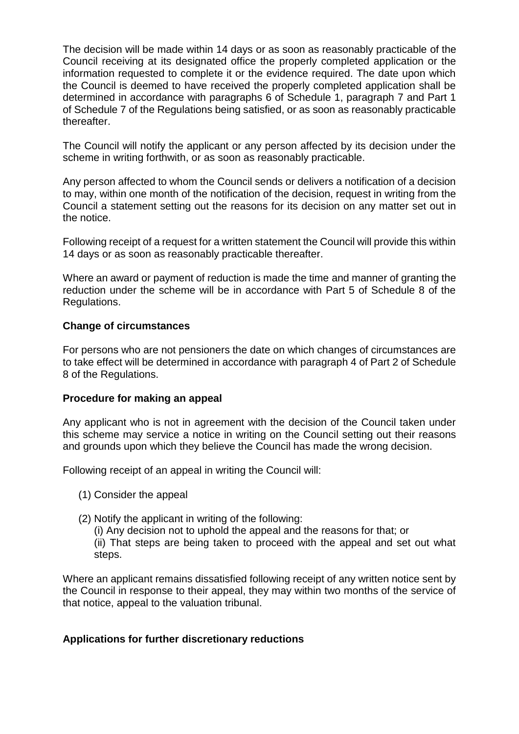The decision will be made within 14 days or as soon as reasonably practicable of the Council receiving at its designated office the properly completed application or the information requested to complete it or the evidence required. The date upon which the Council is deemed to have received the properly completed application shall be determined in accordance with paragraphs 6 of Schedule 1, paragraph 7 and Part 1 of Schedule 7 of the Regulations being satisfied, or as soon as reasonably practicable thereafter.

The Council will notify the applicant or any person affected by its decision under the scheme in writing forthwith, or as soon as reasonably practicable.

Any person affected to whom the Council sends or delivers a notification of a decision to may, within one month of the notification of the decision, request in writing from the Council a statement setting out the reasons for its decision on any matter set out in the notice.

Following receipt of a request for a written statement the Council will provide this within 14 days or as soon as reasonably practicable thereafter.

Where an award or payment of reduction is made the time and manner of granting the reduction under the scheme will be in accordance with Part 5 of Schedule 8 of the Regulations.

## **Change of circumstances**

For persons who are not pensioners the date on which changes of circumstances are to take effect will be determined in accordance with paragraph 4 of Part 2 of Schedule 8 of the Regulations.

#### **Procedure for making an appeal**

Any applicant who is not in agreement with the decision of the Council taken under this scheme may service a notice in writing on the Council setting out their reasons and grounds upon which they believe the Council has made the wrong decision.

Following receipt of an appeal in writing the Council will:

- (1) Consider the appeal
- (2) Notify the applicant in writing of the following:
	- (i) Any decision not to uphold the appeal and the reasons for that; or
	- (ii) That steps are being taken to proceed with the appeal and set out what steps.

Where an applicant remains dissatisfied following receipt of any written notice sent by the Council in response to their appeal, they may within two months of the service of that notice, appeal to the valuation tribunal.

## **Applications for further discretionary reductions**